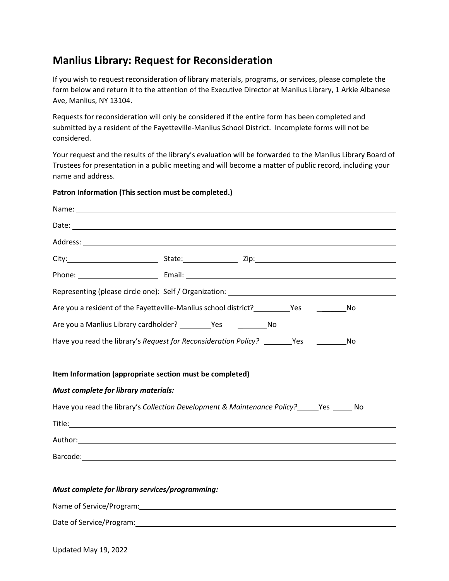## **Manlius Library: Request for Reconsideration**

If you wish to request reconsideration of library materials, programs, or services, please complete the form below and return it to the attention of the Executive Director at Manlius Library, 1 Arkie Albanese Ave, Manlius, NY 13104.

Requests for reconsideration will only be considered if the entire form has been completed and submitted by a resident of the Fayetteville-Manlius School District. Incomplete forms will not be considered.

Your request and the results of the library's evaluation will be forwarded to the Manlius Library Board of Trustees for presentation in a public meeting and will become a matter of public record, including your name and address.

# Name: Date: when the contract of the contract of the contract of the contract of the contract of the contract of the contract of the contract of the contract of the contract of the contract of the contract of the contract of the Address: City: State: Zip: Phone: Email: Email: Email: Email: Email: Email: Email: Email: Email: Email: Email: Email: Email: Email: Email: Email: Email: Email: Email: Email: Email: Email: Email: Email: Email: Email: Email: Email: Email: Email: Email Representing (please circle one): Self / Organization: Are you a resident of the Fayetteville-Manlius school district? \_\_\_\_\_\_\_\_\_\_Yes \_\_\_\_\_\_\_\_\_\_\_\_No Are you a Manlius Library cardholder? The Yes No Have you read the library's *Request for Reconsideration Policy?* \_\_\_\_\_\_\_\_Yes \_\_\_\_\_\_\_\_\_\_\_No **Item Information (appropriate section must be completed)** *Must complete for library materials:* Have you read the library's *Collection Development & Maintenance Policy?* \_\_\_\_\_Yes \_\_\_\_\_ No Title: Author: Barcode: with the contract of the contract of the contract of the contract of the contract of the contract of the contract of the contract of the contract of the contract of the contract of the contract of the contract of

### **Patron Information (This section must be completed.)**

#### *Must complete for library services/programming:*

Name of Service/Program:

|  |  | Date of Service/Program: |
|--|--|--------------------------|
|--|--|--------------------------|